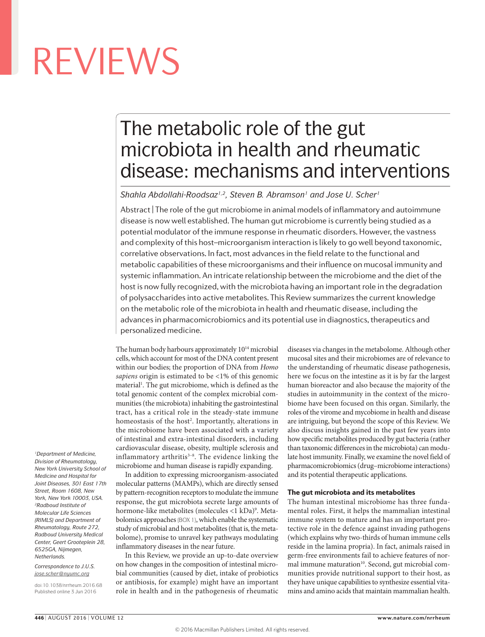## The metabolic role of the gut microbiota in health and rheumatic disease: mechanisms and interventions

Shahla Abdollahi-Roodsaz<sup>1,2</sup>, Steven B. Abramson<sup>1</sup> and Jose U. Scher<sup>1</sup>

Abstract | The role of the gut microbiome in animal models of inflammatory and autoimmune disease is now well established. The human gut microbiome is currently being studied as a potential modulator of the immune response in rheumatic disorders. However, the vastness and complexity of this host–microorganism interaction is likely to go well beyond taxonomic, correlative observations. In fact, most advances in the field relate to the functional and metabolic capabilities of these microorganisms and their influence on mucosal immunity and systemic inflammation. An intricate relationship between the microbiome and the diet of the host is now fully recognized, with the microbiota having an important role in the degradation of polysaccharides into active metabolites. This Review summarizes the current knowledge on the metabolic role of the microbiota in health and rheumatic disease, including the advances in pharmacomicrobiomics and its potential use in diagnostics, therapeutics and personalized medicine.

The human body harbours approximately  $10^{14}$  microbial cells, which account for most of the DNA content present within our bodies; the proportion of DNA from *Homo sapiens* origin is estimated to be <1% of this genomic material<sup>1</sup>. The gut microbiome, which is defined as the total genomic content of the complex microbial communities (the microbiota) inhabiting the gastrointestinal tract, has a critical role in the steady-state immune homeostasis of the host<sup>2</sup>. Importantly, alterations in the microbiome have been associated with a variety of intestinal and extra-intestinal disorders, including cardiovascular disease, obesity, multiple sclerosis and inflammatory arthritis $3-8$ . The evidence linking the microbiome and human disease is rapidly expanding.

In addition to expressing microorganism-associated molecular patterns (MAMPs), which are directly sensed by pattern-recognition receptors to modulate the immune response, the gut microbiota secrete large amounts of hormone-like metabolites (molecules <1 kDa)°. Metabolomics approaches (BOX 1), which enable the systematic study of microbial and host metabolites (that is, the metabolome), promise to unravel key pathways modulating inflammatory diseases in the near future.

In this Review, we provide an up-to-date overview on how changes in the composition of intestinal microbial communities (caused by diet, intake of probiotics or antibiosis, for example) might have an important role in health and in the pathogenesis of rheumatic diseases via changes in the metabolome. Although other mucosal sites and their microbiomes are of relevance to the understanding of rheumatic disease pathogenesis, here we focus on the intestine as it is by far the largest human bioreactor and also because the majority of the studies in autoimmunity in the context of the microbiome have been focused on this organ. Similarly, the roles of the virome and mycobiome in health and disease are intriguing, but beyond the scope of this Review. We also discuss insights gained in the past few years into how specific metabolites produced by gut bacteria (rather than taxonomic differences in the microbiota) can modulate host immunity. Finally, we examine the novel field of pharmacomicrobiomics (drug–microbiome interactions) and its potential therapeutic applications.

#### The gut microbiota and its metabolites

The human intestinal microbiome has three fundamental roles. First, it helps the mammalian intestinal immune system to mature and has an important protective role in the defence against invading pathogens (which explains why two-thirds of human immune cells reside in the lamina propria). In fact, animals raised in germ-free environments fail to achieve features of normal immune maturation<sup>10</sup>. Second, gut microbial communities provide nutritional support to their host, as they have unique capabilities to synthesize essential vitamins and amino acids that maintain mammalian health.

*1Department of Medicine, Division of Rheumatology, New York University School of Medicine and Hospital for Joint Diseases, 301 East 17th Street, Room 1608, New York, New York 10003, USA. 2Radboud Institute of Molecular Life Sciences (RIMLS) and Department of Rheumatology, Route 272, Radboud University Medical Center, Geert Grooteplein 28, 6525GA, Nijmegen, Netherlands.*

*Correspondence to J.U.S. [jose.scher@nyumc.org](mailto:jose.scher@nyumc.org)*

doi:10.1038/nrrheum.2016.68 Published online 3 Jun 2016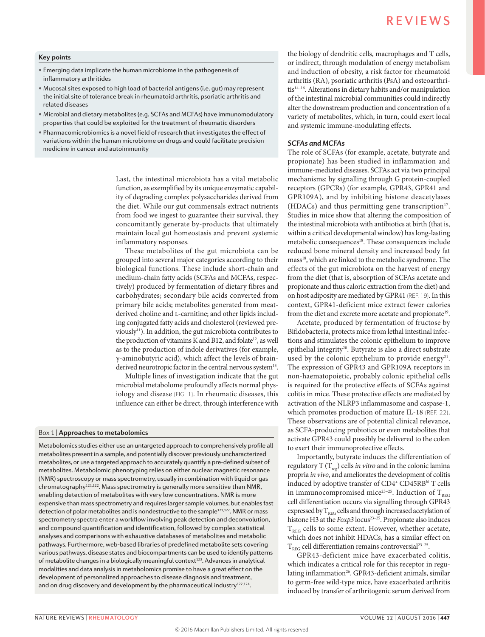#### **Key points**

- Emerging data implicate the human microbiome in the pathogenesis of inflammatory arthritides
- Mucosal sites exposed to high load of bacterial antigens (i.e. gut) may represent the initial site of tolerance break in rheumatoid arthritis, psoriatic arthritis and related diseases
- Microbial and dietary metabolites (e.g. SCFAs and MCFAs) have immunomodulatory properties that could be exploited for the treatment of rheumatic disorders
- Pharmacomicrobiomics is a novel field of research that investigates the effect of variations within the human microbiome on drugs and could facilitate precision medicine in cancer and autoimmunity

Last, the intestinal microbiota has a vital metabolic function, as exemplified by its unique enzymatic capability of degrading complex polysaccharides derived from the diet. While our gut commensals extract nutrients from food we ingest to guarantee their survival, they concomitantly generate by-products that ultimately maintain local gut homeostasis and prevent systemic inflammatory responses.

These metabolites of the gut microbiota can be grouped into several major categories according to their biological functions. These include short-chain and medium-chain fatty acids (SCFAs and MCFAs, respectively) produced by fermentation of dietary fibres and carbohydrates; secondary bile acids converted from primary bile acids; metabolites generated from meatderived choline and L-carnitine; and other lipids including conjugated fatty acids and cholesterol (reviewed previously11). In addition, the gut microbiota contributes to the production of vitamins K and B12, and folate<sup>12</sup>, as well as to the production of indole derivatives (for example, γ-aminobutyric acid), which affect the levels of brainderived neurotropic factor in the central nervous system<sup>13</sup>.

Multiple lines of investigation indicate that the gut microbial metabolome profoundly affects normal physiology and disease (FIG. 1). In rheumatic diseases, this influence can either be direct, through interference with

#### Box 1 | **Approaches to metabolomics**

Metabolomics studies either use an untargeted approach to comprehensively profile all metabolites present in a sample, and potentially discover previously uncharacterized metabolites, or use a targeted approach to accurately quantify a pre-defined subset of metabolites. Metabolomic phenotyping relies on either nuclear magnetic resonance (NMR) spectroscopy or mass spectrometry, usually in combination with liquid or gas chromatography<sup>121,122</sup>. Mass spectrometry is generally more sensitive than NMR, enabling detection of metabolites with very low concentrations. NMR is more expensive than mass spectrometry and requires larger sample volumes, but enables fast detection of polar metabolites and is nondestructive to the sample<sup>121,122</sup>. NMR or mass spectrometry spectra enter a workflow involving peak detection and deconvolution, and compound quantification and identification, followed by complex statistical analyses and comparisons with exhaustive databases of metabolites and metabolic pathways. Furthermore, web-based libraries of predefined metabolite sets covering various pathways, disease states and biocompartments can be used to identify patterns of metabolite changes in a biologically meaningful context<sup>123</sup>. Advances in analytical modalities and data analysis in metabolomics promise to have a great effect on the development of personalized approaches to disease diagnosis and treatment, and on drug discovery and development by the pharmaceutical industry<sup>122,124</sup>.

the biology of dendritic cells, macrophages and T cells, or indirect, through modulation of energy metabolism and induction of obesity, a risk factor for rheumatoid arthritis (RA), psoriatic arthritis (PsA) and osteoarthritis<sup>14-16</sup>. Alterations in dietary habits and/or manipulation of the intestinal microbial communities could indirectly alter the downstream production and concentration of a variety of metabolites, which, in turn, could exert local and systemic immune-modulating effects.

#### *SCFAs and MCFAs*

The role of SCFAs (for example, acetate, butyrate and propionate) has been studied in inflammation and immune-mediated diseases. SCFAs act via two principal mechanisms: by signalling through G protein-coupled receptors (GPCRs) (for example, GPR43, GPR41 and GPR109A), and by inhibiting histone deacetylases (HDACs) and thus permitting gene transcription $17$ . Studies in mice show that altering the composition of the intestinal microbiota with antibiotics at birth (that is, within a critical developmental window) has long-lasting metabolic consequences<sup>18</sup>. These consequences include reduced bone mineral density and increased body fat mass18, which are linked to the metabolic syndrome. The effects of the gut microbiota on the harvest of energy from the diet (that is, absorption of SCFAs acetate and propionate and thus caloric extraction from the diet) and on host adiposity are mediated by GPR41 (REF. 19). In this context, GPR41-deficient mice extract fewer calories from the diet and excrete more acetate and propionate<sup>19</sup>.

Acetate, produced by fermentation of fructose by Bifidobacteria, protects mice from lethal intestinal infections and stimulates the colonic epithelium to improve epithelial integrity<sup>20</sup>. Butyrate is also a direct substrate used by the colonic epithelium to provide energy<sup>21</sup>. The expression of GPR43 and GPR109A receptors in non-haematopoietic, probably colonic epithelial cells is required for the protective effects of SCFAs against colitis in mice. These protective effects are mediated by activation of the NLRP3 inflammasome and caspase-1, which promotes production of mature IL-18 (REF. 22). These observations are of potential clinical relevance, as SCFA-producing probiotics or even metabolites that activate GPR43 could possibly be delivered to the colon to exert their immunoprotective effects.

Importantly, butyrate induces the differentiation of regulatory T (T<sub>reg</sub>) cells *in vitro* and in the colonic lamina propria *in vivo*, and ameliorates the development of colitis induced by adoptive transfer of CD4<sup>+</sup> CD45RBhi T cells in immunocompromised mice<sup>23-25</sup>. Induction of  $T_{REG}$ cell differentiation occurs via signalling through GPR43 expressed by  $T_{RFG}$  cells and through increased acetylation of histone H3 at the *Foxp3* locus<sup>23-25</sup>. Propionate also induces  $T_{REC}$  cells to some extent. However, whether acetate, which does not inhibit HDACs, has a similar effect on  $T_{REG}$  cell differentiation remains controversial<sup>23-25</sup>.

GPR43-deficient mice have exacerbated colitis, which indicates a critical role for this receptor in regulating inflammation<sup>26</sup>. GPR43-deficient animals, similar to germ-free wild-type mice, have exacerbated arthritis induced by transfer of arthritogenic serum derived from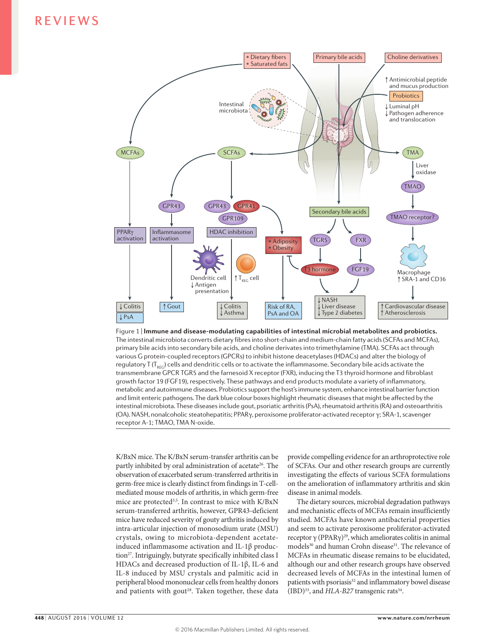

**Nature Reviews** | **Rheumatology** various G protein-coupled receptors (GPCRs) to inhibit histone deacetylases (HDACs) and alter the biology of Figure 1 | **Immune and disease-modulating capabilities of intestinal microbial metabolites and probiotics.**  The intestinal microbiota converts dietary fibres into short-chain and medium-chain fatty acids (SCFAs and MCFAs), primary bile acids into secondary bile acids, and choline derivates into trimethylamine (TMA). SCFAs act through regulatory T ( $T_{\text{rec}}$ ) cells and dendritic cells or to activate the inflammasome. Secondary bile acids activate the transmembrane GPCR TGR5 and the farnesoid X receptor (FXR), inducing the T3 thyroid hormone and fibroblast growth factor 19 (FGF19), respectively. These pathways and end products modulate a variety of inflammatory, metabolic and autoimmune diseases. Probiotics support the host's immune system, enhance intestinal barrier function and limit enteric pathogens. The dark blue colour boxes highlight rheumatic diseases that might be affected by the intestinal microbiota. These diseases include gout, psoriatic arthritis (PsA), rheumatoid arthritis (RA) and osteoarthritis (OA). NASH, nonalcoholic steatohepatitis; PPARγ, peroxisome proliferator-activated receptor γ; SRA-1, scavenger receptor A-1; TMAO, TMA N-oxide.

K/BxN mice. The K/BxN serum-transfer arthritis can be partly inhibited by oral administration of acetate<sup>26</sup>. The observation of exacerbated serum-transferred arthritis in germ-free mice is clearly distinct from findings in T-cellmediated mouse models of arthritis, in which germ-free mice are protected<sup>3,5</sup>. In contrast to mice with K/BxN serum-transferred arthritis, however, GPR43-deficient mice have reduced severity of gouty arthritis induced by intra-articular injection of monosodium urate (MSU) crystals, owing to microbiota-dependent acetateinduced inflammasome activation and IL-1β production<sup>27</sup>. Intriguingly, butyrate specifically inhibited class I HDACs and decreased production of IL-1β, IL-6 and IL-8 induced by MSU crystals and palmitic acid in peripheral blood mononuclear cells from healthy donors and patients with gout<sup>28</sup>. Taken together, these data

provide compelling evidence for an arthroprotective role of SCFAs. Our and other research groups are currently investigating the effects of various SCFA formulations on the amelioration of inflammatory arthritis and skin disease in animal models.

The dietary sources, microbial degradation pathways and mechanistic effects of MCFAs remain insufficiently studied. MCFAs have known antibacterial properties and seem to activate peroxisome proliferator-activated receptor  $\gamma$  (PPAR $\gamma$ )<sup>29</sup>, which ameliorates colitis in animal models<sup>30</sup> and human Crohn disease<sup>31</sup>. The relevance of MCFAs in rheumatic disease remains to be elucidated, although our and other research groups have observed decreased levels of MCFAs in the intestinal lumen of patients with psoriasis<sup>32</sup> and inflammatory bowel disease (IBD)<sup>33</sup>, and *HLA-B27* transgenic rats<sup>34</sup>.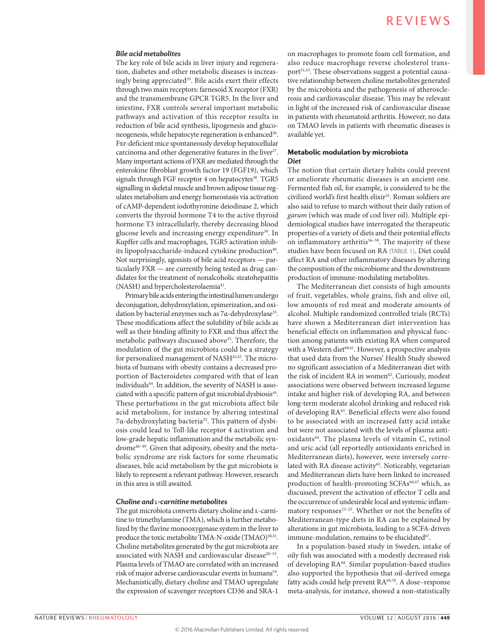#### *Bile acid metabolites*

The key role of bile acids in liver injury and regeneration, diabetes and other metabolic diseases is increasingly being appreciated<sup>35</sup>. Bile acids exert their effects through two main receptors: farnesoid X receptor (FXR) and the transmembrane GPCR TGR5. In the liver and intestine, FXR controls several important metabolic pathways and activation of this receptor results in reduction of bile acid synthesis, lipogenesis and gluconeogenesis, while hepatocyte regeneration is enhanced<sup>36</sup>. Fxr-deficient mice spontaneously develop hepatocellular carcinoma and other degenerative features in the liver<sup>37</sup>. Many important actions of FXR are mediated through the enterokine fibroblast growth factor 19 (FGF19), which signals through FGF receptor 4 on hepatocytes<sup>38</sup>. TGR5 signalling in skeletal muscle and brown adipose tissue regulates metabolism and energy homeostasis via activation of cAMP-dependent iodothyronine deiodinase 2, which converts the thyroid hormone T4 to the active thyroid hormone T3 intracellularly, thereby decreasing blood glucose levels and increasing energy expenditure<sup>39</sup>. In Kupffer cells and macrophages, TGR5 activation inhibits lipopolysaccharide-induced cytokine production<sup>40</sup>. Not surprisingly, agonists of bile acid receptors — particularly FXR — are currently being tested as drug candidates for the treatment of nonalcoholic steatohepatitis (NASH) and hypercholesterolaemia<sup>41</sup>.

Primary bile acids entering the intestinal lumen undergo deconjugation, dehydroxylation, epimerization, and oxidation by bacterial enzymes such as 7α-dehydroxylase<sup>35</sup>. These modifications affect the solubility of bile acids as well as their binding affinity to FXR and thus affect the metabolic pathways discussed above<sup>35</sup>. Therefore, the modulation of the gut microbiota could be a strategy for personalized management of NASH<sup>42,43</sup>. The microbiota of humans with obesity contains a decreased proportion of Bacteroidetes compared with that of lean individuals<sup>44</sup>. In addition, the severity of NASH is associated with a specific pattern of gut microbial dysbiosis<sup>45</sup>. These perturbations in the gut microbiota affect bile acid metabolism, for instance by altering intestinal 7α-dehydroxylating bacteria35. This pattern of dysbiosis could lead to Toll-like receptor 4 activation and low-grade hepatic inflammation and the metabolic syndrome<sup>46-49</sup>. Given that adiposity, obesity and the metabolic syndrome are risk factors for some rheumatic diseases, bile acid metabolism by the gut microbiota is likely to represent a relevant pathway. However, research in this area is still awaited.

#### *Choline and l‑carnitine metabolites*

The gut microbiota converts dietary choline and L-carnitine to trimethylamine (TMA), which is further metabolized by the flavine monooxygenase system in the liver to produce the toxic metabolite TMA-N-oxide (TMAO)<sup>50,51</sup>. Choline metabolites generated by the gut microbiota are associated with NASH and cardiovascular disease<sup>50-53</sup>. Plasma levels of TMAO are correlated with an increased risk of major adverse cardiovascular events in humans<sup>54</sup>. Mechanistically, dietary choline and TMAO upregulate the expression of scavenger receptors CD36 and SRA-1

on macrophages to promote foam cell formation, and also reduce macrophage reverse cholesterol transport<sup>51,53</sup>. These observations suggest a potential causative relationship between choline metabolites generated by the microbiota and the pathogenesis of atherosclerosis and cardiovascular disease. This may be relevant in light of the increased risk of cardiovascular disease in patients with rheumatoid arthritis. However, no data on TMAO levels in patients with rheumatic diseases is available yet.

#### Metabolic modulation by microbiota *Diet*

The notion that certain dietary habits could prevent or ameliorate rheumatic diseases is an ancient one. Fermented fish oil, for example, is considered to be the civilized world's first health elixir<sup>55</sup>. Roman soldiers are also said to refuse to march without their daily ration of *garum* (which was made of cod liver oil). Multiple epidemiological studies have interrogated the therapeutic properties of a variety of diets and their potential effects on inflammatory arthritis<sup>56–59</sup>. The majority of these studies have been focused on RA (TABLE 1). Diet could affect RA and other inflammatory diseases by altering the composition of the microbiome and the downstream production of immune-modulating metabolites.

The Mediterranean diet consists of high amounts of fruit, vegetables, whole grains, fish and olive oil, low amounts of red meat and moderate amounts of alcohol. Multiple randomized controlled trials (RCTs) have shown a Mediterranean diet intervention has beneficial effects on inflammation and physical function among patients with existing RA when compared with a Western diet<sup>60,61</sup>. However, a prospective analysis that used data from the Nurses' Health Study showed no significant association of a Mediterranean diet with the risk of incident RA in women<sup>62</sup>. Curiously, modest associations were observed between increased legume intake and higher risk of developing RA, and between long-term moderate alcohol drinking and reduced risk of developing RA<sup>63</sup>. Beneficial effects were also found to be associated with an increased fatty acid intake but were not associated with the levels of plasma antioxidants<sup>64</sup>. The plasma levels of vitamin C, retinol and uric acid (all reportedly antioxidants enriched in Mediterranean diets), however, were inversely correlated with RA disease activity<sup>65</sup>. Noticeably, vegetarian and Mediterranean diets have been linked to increased production of health-promoting SCFAs<sup>66,67</sup> which, as discussed, prevent the activation of effector T cells and the occurrence of undesirable local and systemic inflammatory responses<sup>23-25</sup>. Whether or not the benefits of Mediterranean-type diets in RA can be explained by alterations in gut microbiota, leading to a SCFA-driven immune-modulation, remains to be elucidated<sup>67</sup>.

In a population-based study in Sweden, intake of oily fish was associated with a modestly decreased risk of developing RA68. Similar population-based studies also supported the hypothesis that oil-derived omega fatty acids could help prevent RA<sup>69,70</sup>. A dose-response meta-analysis, for instance, showed a non-statistically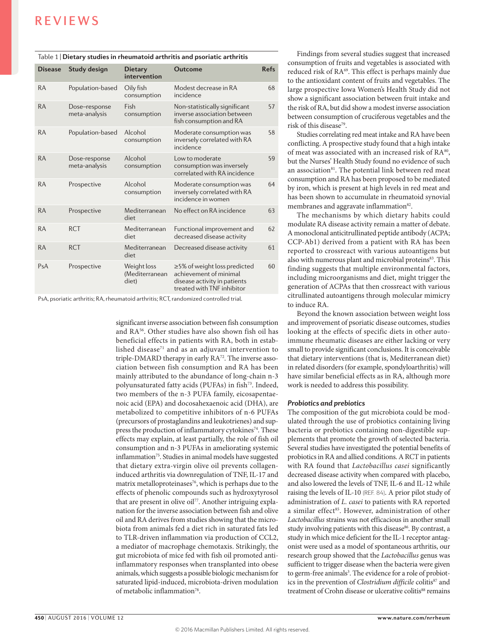| Table 1   Dietary studies in rheumatoid arthritis and psoriatic arthritis |  |
|---------------------------------------------------------------------------|--|
|---------------------------------------------------------------------------|--|

| <b>Disease</b> | Study design                   | <b>Dietary</b><br>intervention         | Outcome                                                                                                              | <b>Refs</b> |
|----------------|--------------------------------|----------------------------------------|----------------------------------------------------------------------------------------------------------------------|-------------|
| <b>RA</b>      | Population-based               | Oily fish<br>consumption               | Modest decrease in RA<br>incidence                                                                                   | 68          |
| <b>RA</b>      | Dose-response<br>meta-analysis | Fish<br>consumption                    | Non-statistically significant<br>inverse association between<br>fish consumption and RA                              | 57          |
| <b>RA</b>      | Population-based               | Alcohol<br>consumption                 | Moderate consumption was<br>inversely correlated with RA<br>incidence                                                | 58          |
| <b>RA</b>      | Dose-response<br>meta-analysis | Alcohol<br>consumption                 | Low to moderate<br>consumption was inversely<br>correlated with RA incidence                                         | 59          |
| <b>RA</b>      | Prospective                    | Alcohol<br>consumption                 | Moderate consumption was<br>inversely correlated with RA<br>incidence in women                                       | 64          |
| <b>RA</b>      | Prospective                    | Mediterranean<br>diet                  | No effect on RA incidence                                                                                            | 63          |
| <b>RA</b>      | <b>RCT</b>                     | Mediterranean<br>diet                  | Functional improvement and<br>decreased disease activity                                                             | 62          |
| <b>RA</b>      | <b>RCT</b>                     | Mediterranean<br>diet                  | Decreased disease activity                                                                                           | 61          |
| PsA            | Prospective                    | Weight loss<br>(Mediterranean<br>diet) | ≥5% of weight loss predicted<br>achievement of minimal<br>disease activity in patients<br>treated with TNF inhibitor | 60          |

PsA, psoriatic arthritis; RA, rheumatoid arthritis; RCT, randomized controlled trial.

significant inverse association between fish consumption and RA<sup>56</sup>. Other studies have also shown fish oil has beneficial effects in patients with RA, both in established disease<sup>71</sup> and as an adjuvant intervention to triple-DMARD therapy in early RA<sup>72</sup>. The inverse association between fish consumption and RA has been mainly attributed to the abundance of long-chain n-3 polyunsaturated fatty acids (PUFAs) in fish<sup>73</sup>. Indeed, two members of the n-3 PUFA family, eicosapentaenoic acid (EPA) and docosahexaenoic acid (DHA), are metabolized to competitive inhibitors of n-6 PUFAs (precursors of prostaglandins and leukotrienes) and suppress the production of inflammatory cytokines<sup>74</sup>. These effects may explain, at least partially, the role of fish oil consumption and n-3 PUFAs in ameliorating systemic inflammation<sup>75</sup>. Studies in animal models have suggested that dietary extra-virgin olive oil prevents collageninduced arthritis via downregulation of TNF, IL-17 and matrix metalloproteinases<sup>76</sup>, which is perhaps due to the effects of phenolic compounds such as hydroxytyrosol that are present in olive oil<sup>77</sup>. Another intriguing explanation for the inverse association between fish and olive oil and RA derives from studies showing that the microbiota from animals fed a diet rich in saturated fats led to TLR-driven inflammation via production of CCL2, a mediator of macrophage chemotaxis. Strikingly, the gut microbiota of mice fed with fish oil promoted antiinflammatory responses when transplanted into obese animals, which suggests a possible biologic mechanism for saturated lipid-induced, microbiota-driven modulation of metabolic inflammation78.

Findings from several studies suggest that increased consumption of fruits and vegetables is associated with reduced risk of RA<sup>69</sup>. This effect is perhaps mainly due to the antioxidant content of fruits and vegetables. The large prospective Iowa Women's Health Study did not show a significant association between fruit intake and the risk of RA, but did show a modest inverse association between consumption of cruciferous vegetables and the risk of this disease<sup>79</sup>.

Studies correlating red meat intake and RA have been conflicting. A prospective study found that a high intake of meat was associated with an increased risk of RA<sup>80</sup>, but the Nurses' Health Study found no evidence of such an association<sup>81</sup>. The potential link between red meat consumption and RA has been proposed to be mediated by iron, which is present at high levels in red meat and has been shown to accumulate in rheumatoid synovial membranes and aggravate inflammation<sup>82</sup>.

The mechanisms by which dietary habits could modulate RA disease activity remain a matter of debate. A monoclonal anticitrullinated peptide antibody (ACPA; CCP-Ab1) derived from a patient with RA has been reported to crossreact with various autoantigens but also with numerous plant and microbial proteins83. This finding suggests that multiple environmental factors, including microorganisms and diet, might trigger the generation of ACPAs that then crossreact with various citrullinated autoantigens through molecular mimicry to induce RA.

Beyond the known association between weight loss and improvement of psoriatic disease outcomes, studies looking at the effects of specific diets in other autoimmune rheumatic diseases are either lacking or very small to provide significant conclusions. It is conceivable that dietary interventions (that is, Mediterranean diet) in related disorders (for example, spondyloarthritis) will have similar beneficial effects as in RA, although more work is needed to address this possibility.

#### *Probiotics and prebiotics*

The composition of the gut microbiota could be modulated through the use of probiotics containing living bacteria or prebiotics containing non-digestible supplements that promote the growth of selected bacteria. Several studies have investigated the potential benefits of probiotics in RA and allied conditions. A RCT in patients with RA found that *Lactobacillus casei* significantly decreased disease activity when compared with placebo, and also lowered the levels of TNF, IL-6 and IL-12 while raising the levels of IL-10 (REF. 84). A prior pilot study of administration of *L. casei* to patients with RA reported a similar effect<sup>85</sup>. However, administration of other *Lactobacillus* strains was not efficacious in another small study involving patients with this disease<sup>86</sup>. By contrast, a study in which mice deficient for the IL-1 receptor antagonist were used as a model of spontaneous arthritis, our research group showed that the *Lactobacillus* genus was sufficient to trigger disease when the bacteria were given to germ-free animals<sup>3</sup>. The evidence for a role of probiotics in the prevention of *Clostridium difficile* colitis<sup>87</sup> and treatment of Crohn disease or ulcerative colitis<sup>88</sup> remains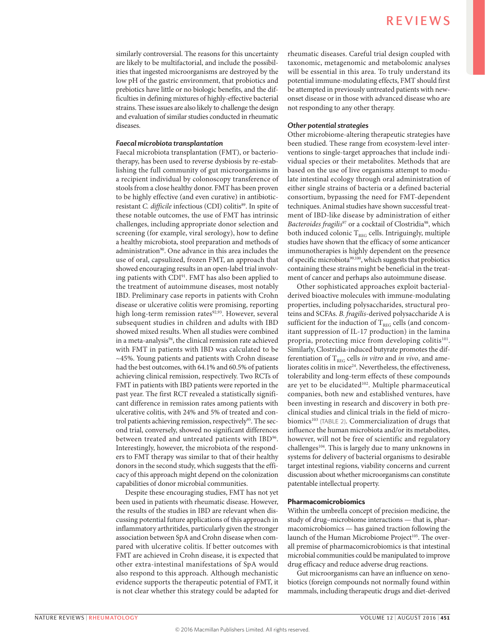similarly controversial. The reasons for this uncertainty are likely to be multifactorial, and include the possibilities that ingested microorganisms are destroyed by the low pH of the gastric environment, that probiotics and prebiotics have little or no biologic benefits, and the difficulties in defining mixtures of highly-effective bacterial strains. These issues are also likely to challenge the design and evaluation of similar studies conducted in rheumatic diseases.

#### *Faecal microbiota transplantation*

Faecal microbiota transplantation (FMT), or bacteriotherapy, has been used to reverse dysbiosis by re-establishing the full community of gut microorganisms in a recipient individual by colonoscopy transference of stools from a close healthy donor. FMT has been proven to be highly effective (and even curative) in antibioticresistant *C. difficile* infectious (CDI) colitis<sup>89</sup>. In spite of these notable outcomes, the use of FMT has intrinsic challenges, including appropriate donor selection and screening (for example, viral serology), how to define a healthy microbiota, stool preparation and methods of administration<sup>90</sup>. One advance in this area includes the use of oral, capsulized, frozen FMT, an approach that showed encouraging results in an open-label trial involving patients with CDI<sup>91</sup>. FMT has also been applied to the treatment of autoimmune diseases, most notably IBD. Preliminary case reports in patients with Crohn disease or ulcerative colitis were promising, reporting high long-term remission rates<sup>92,93</sup>. However, several subsequent studies in children and adults with IBD showed mixed results. When all studies were combined in a meta-analysis<sup>94</sup>, the clinical remission rate achieved with FMT in patients with IBD was calculated to be ~45%. Young patients and patients with Crohn disease had the best outcomes, with 64.1% and 60.5% of patients achieving clinical remission, respectively. Two RCTs of FMT in patients with IBD patients were reported in the past year. The first RCT revealed a statistically significant difference in remission rates among patients with ulcerative colitis, with 24% and 5% of treated and control patients achieving remission, respectively<sup>95</sup>. The second trial, conversely, showed no significant differences between treated and untreated patients with IBD<sup>96</sup>. Interestingly, however, the microbiota of the responders to FMT therapy was similar to that of their healthy donors in the second study, which suggests that the efficacy of this approach might depend on the colonization capabilities of donor microbial communities.

Despite these encouraging studies, FMT has not yet been used in patients with rheumatic disease. However, the results of the studies in IBD are relevant when discussing potential future applications of this approach in inflammatory arthritides, particularly given the stronger association between SpA and Crohn disease when compared with ulcerative colitis. If better outcomes with FMT are achieved in Crohn disease, it is expected that other extra-intestinal manifestations of SpA would also respond to this approach. Although mechanistic evidence supports the therapeutic potential of FMT, it is not clear whether this strategy could be adapted for rheumatic diseases. Careful trial design coupled with taxonomic, metagenomic and metabolomic analyses will be essential in this area. To truly understand its potential immune-modulating effects, FMT should first be attempted in previously untreated patients with newonset disease or in those with advanced disease who are not responding to any other therapy.

#### *Other potential strategies*

Other microbiome-altering therapeutic strategies have been studied. These range from ecosystem-level interventions to single-target approaches that include individual species or their metabolites. Methods that are based on the use of live organisms attempt to modulate intestinal ecology through oral administration of either single strains of bacteria or a defined bacterial consortium, bypassing the need for FMT-dependent techniques. Animal studies have shown successful treatment of IBD-like disease by administration of either Bacteroides fragilis<sup>97</sup> or a cocktail of Clostridia<sup>98</sup>, which both induced colonic  $\rm T_{\rm REG}$  cells. Intriguingly, multiple studies have shown that the efficacy of some anticancer immunotherapies is highly dependent on the presence of specific microbiota<sup>99,100</sup>, which suggests that probiotics containing these strains might be beneficial in the treatment of cancer and perhaps also autoimmune disease.

Other sophisticated approaches exploit bacterialderived bioactive molecules with immune-modulating properties, including polysaccharides, structural proteins and SCFAs. *B. fragilis*-derived polysaccharide A is sufficient for the induction of  $T_{REG}$  cells (and concomitant suppression of IL-17 production) in the lamina propria, protecting mice from developing colitis<sup>101</sup>. Similarly, Clostridia-induced butyrate promotes the differentiation of  $T_{REG}$  cells *in vitro* and *in vivo*, and ameliorates colitis in mice<sup>24</sup>. Nevertheless, the effectiveness, tolerability and long-term effects of these compounds are yet to be elucidated<sup>102</sup>. Multiple pharmaceutical companies, both new and established ventures, have been investing in research and discovery in both preclinical studies and clinical trials in the field of microbiomics<sup>103</sup> (TABLE 2). Commercialization of drugs that influence the human microbiota and/or its metabolites, however, will not be free of scientific and regulatory challenges<sup>104</sup>. This is largely due to many unknowns in systems for delivery of bacterial organisms to desirable target intestinal regions, viability concerns and current discussion about whether microorganisms can constitute patentable intellectual property.

#### Pharmacomicrobiomics

Within the umbrella concept of precision medicine, the study of drug–microbiome interactions — that is, pharmacomicrobiomics — has gained traction following the launch of the Human Microbiome Project<sup>105</sup>. The overall premise of pharmacomicrobiomics is that intestinal microbial communities could be manipulated to improve drug efficacy and reduce adverse drug reactions.

Gut microorganisms can have an influence on xenobiotics (foreign compounds not normally found within mammals, including therapeutic drugs and diet-derived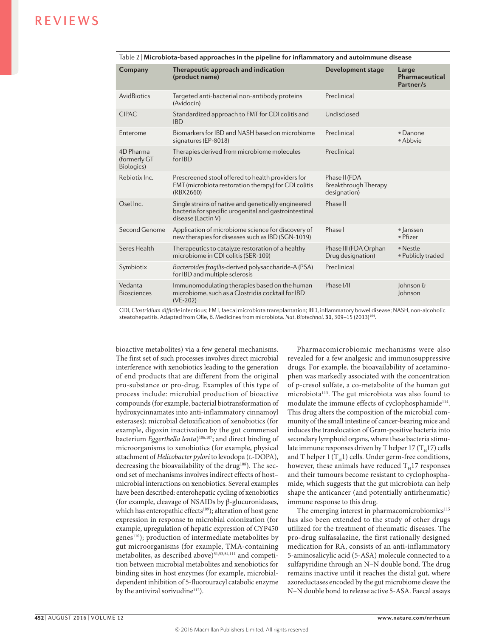| Company                                   | Therapeutic approach and indication<br>(product name)                                                                              | <b>Development stage</b>                              | Large<br>Pharmaceutical<br>Partner/s |
|-------------------------------------------|------------------------------------------------------------------------------------------------------------------------------------|-------------------------------------------------------|--------------------------------------|
| <b>AvidBiotics</b>                        | Targeted anti-bacterial non-antibody proteins<br>(Avidocin)                                                                        | Preclinical                                           |                                      |
| <b>CIPAC</b>                              | Standardized approach to FMT for CDI colitis and<br><b>IBD</b>                                                                     | Undisclosed                                           |                                      |
| Enterome                                  | Biomarkers for IBD and NASH based on microbiome<br>signatures (EP-8018)                                                            | Preclinical                                           | $\bullet$ Danone<br>• Abbvie         |
| $4D$ Pharma<br>(formerly GT<br>Biologics) | Therapies derived from microbiome molecules<br>for IBD                                                                             | Preclinical                                           |                                      |
| Rebiotix Inc.                             | Prescreened stool offered to health providers for<br>FMT (microbiota restoration therapy) for CDI colitis<br>(RBX2660)             | Phase II (FDA<br>Breakthrough Therapy<br>designation) |                                      |
| Osel Inc.                                 | Single strains of native and genetically engineered<br>bacteria for specific urogenital and gastrointestinal<br>disease (Lactin V) | Phase II                                              |                                      |
| Second Genome                             | Application of microbiome science for discovery of<br>new therapies for diseases such as IBD (SGN-1019)                            | Phase I                                               | · lanssen<br>• Pfizer                |
| Seres Health                              | Therapeutics to catalyze restoration of a healthy<br>microbiome in CDI colitis (SER-109)                                           | Phase III (FDA Orphan<br>Drug designation)            | • Nestle<br>• Publicly traded        |
| Symbiotix                                 | Bacteroides fragilis-derived polysaccharide-A (PSA)<br>for IBD and multiple sclerosis                                              | Preclinical                                           |                                      |
| Vedanta<br><b>Biosciences</b>             | Immunomodulating therapies based on the human<br>microbiome, such as a Clostridia cocktail for IBD<br>$(VE-202)$                   | Phase I/II                                            | lohnson $\delta$<br>Johnson          |

Table 2 | **Microbiota-based approaches in the pipeline for inflammatory and autoimmune disease**

CDI, *Clostridium difficile* infectious; FMT, faecal microbiota transplantation; IBD, inflammatory bowel disease; NASH, non-alcoholic steatohepatitis. Adapted from Olle, B. Medicines from microbiota. *Nat. Biotechnol.* **31**, 309–15 (2013)104.

bioactive metabolites) via a few general mechanisms. The first set of such processes involves direct microbial interference with xenobiotics leading to the generation of end products that are different from the original pro-substance or pro-drug. Examples of this type of process include: microbial production of bioactive compounds (for example, bacterial biotransformation of hydroxycinnamates into anti-inflammatory cinnamoyl esterases); microbial detoxification of xenobiotics (for example, digoxin inactivation by the gut commensal bacterium *Eggerthella lenta*)106,107; and direct binding of microorganisms to xenobiotics (for example, physical attachment of *Helicobacter pylori* to levodopa (L-DOPA), decreasing the bioavailability of the drug<sup>108</sup>). The second set of mechanisms involves indirect effects of host– microbial interactions on xenobiotics. Several examples have been described: enterohepatic cycling of xenobiotics (for example, cleavage of NSAIDs by β-glucuronidases, which has enteropathic effects<sup>109</sup>); alteration of host gene expression in response to microbial colonization (for example, upregulation of hepatic expression of CYP450 genes<sup>110</sup>); production of intermediate metabolites by gut microorganisms (for example, TMA-containing metabolites, as described above)<sup>51,53,54,111</sup> and competition between microbial metabolites and xenobiotics for binding sites in host enzymes (for example, microbialdependent inhibition of 5-fluorouracyl catabolic enzyme by the antiviral sorivudine<sup>112</sup>).

Pharmacomicrobiomic mechanisms were also revealed for a few analgesic and immunosuppressive drugs. For example, the bioavailability of acetaminophen was markedly associated with the concentration of p-cresol sulfate, a co-metabolite of the human gut microbiota<sup>113</sup>. The gut microbiota was also found to modulate the immune effects of cyclophosphamide<sup>114</sup>. This drug alters the composition of the microbial community of the small intestine of cancer-bearing mice and induces the translocation of Gram-positive bacteria into secondary lymphoid organs, where these bacteria stimulate immune responses driven by T helper 17  $(T_H17)$  cells and T helper  $1(T_H1)$  cells. Under germ-free conditions, however, these animals have reduced  $T_H17$  responses and their tumours become resistant to cyclophosphamide, which suggests that the gut microbiota can help shape the anticancer (and potentially antirheumatic) immune response to this drug.

The emerging interest in pharmacomicrobiomics<sup>115</sup> has also been extended to the study of other drugs utilized for the treatment of rheumatic diseases. The pro-drug sulfasalazine, the first rationally designed medication for RA, consists of an anti-inflammatory 5-aminosalicylic acid (5-ASA) molecule connected to a sulfapyridine through an N–N double bond. The drug remains inactive until it reaches the distal gut, where azoreductases encoded by the gut microbiome cleave the N–N double bond to release active 5-ASA. Faecal assays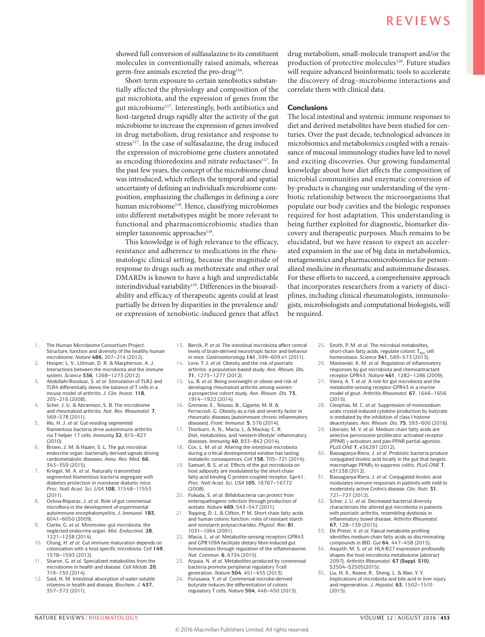showed full conversion of sulfasalazine to its constituent molecules in conventionally raised animals, whereas germ-free animals excreted the pro-drug<sup>116</sup>.

Short-term exposure to certain xenobiotics substantially affected the physiology and composition of the gut microbiota, and the expression of genes from the gut microbiome117. Interestingly, both antibiotics and host-targeted drugs rapidly alter the activity of the gut microbiome to increase the expression of genes involved in drug metabolism, drug resistance and response to stress<sup>117</sup>. In the case of sulfasalazine, the drug induced the expression of microbiome gene clusters annotated as encoding thioredoxins and nitrate reductases<sup>117</sup>. In the past few years, the concept of the microbiome cloud was introduced, which reflects the temporal and spatial uncertainty of defining an individual's microbiome composition, emphasizing the challenges in defining a core human microbiome<sup>118</sup>. Hence, classifying microbiomes into different metabotypes might be more relevant to functional and pharmacomicrobiomic studies than simpler taxonomic approaches<sup>118</sup>.

This knowledge is of high relevance to the efficacy, resistance and adherence to medications in the rheumatologic clinical setting, because the magnitude of response to drugs such as methotrexate and other oral DMARDs is known to have a high and unpredictable interindividual variability<sup>119</sup>. Differences in the bioavailability and efficacy of therapeutic agents could at least partially be driven by disparities in the prevalence and/ or expression of xenobiotic-induced genes that affect

drug metabolism, small-molecule transport and/or the production of protective molecules<sup>120</sup>. Future studies will require advanced bioinformatic tools to accelerate the discovery of drug–microbiome interactions and correlate them with clinical data.

#### **Conclusions**

The local intestinal and systemic immune responses to diet and derived metabolites have been studied for centuries. Over the past decade, technological advances in microbiomics and metabolomics coupled with a renaissance of mucosal immunology studies have led to novel and exciting discoveries. Our growing fundamental knowledge about how diet affects the composition of microbial communities and enzymatic conversion of by-products is changing our understanding of the symbiotic relationship between the microorganisms that populate our body cavities and the biologic responses required for host adaptation. This understanding is being further exploited for diagnostic, biomarker discovery and therapeutic purposes. Much remains to be elucidated, but we have reason to expect an accelerated expansion in the use of big data in metabolomics, metagenomics and pharmacomicrobiomics for personalized medicine in rheumatic and autoimmune diseases. For these efforts to succeed, a comprehensive approach that incorporates researchers from a variety of disciplines, including clinical rheumatologists, immunologists, microbiologists and computational biologists, will be required.

- 1. The Human Microbiome Consortium Project. Structure, function and diversity of the healthy human microbiome. *Nature* **486**, 207–214 (2012).
- 2. Hooper, L. V., Littman, D. R. & Macpherson, A. J. Interactions between the microbiota and the immune system. *Science* **336**, 1268–1273 (2012).
- 3. Abdollahi-Roodsaz, S. *et al.* Stimulation of TLR2 and TLR4 differentially skews the balance of T cells in a mouse model of arthritis. *J. Clin. Invest.* **118**, 205–216 (2008).
- 4. Scher, J. U. & Abramson, S. B. The microbiome and rheumatoid arthritis. *Nat. Rev. Rheumatol.* **7**, 569–578 (2011).
- 5. Wu, H. J. *et al.* Gut-residing segmented filamentous bacteria drive autoimmune arthritis via T helper 17 cells. *Immunity* **32**, 815–827 (2010).
- 6. Brown, J. M. & Hazen, S. L. The gut microbial endocrine organ: bacterially derived signals driving cardiometabolic diseases. *Annu. Rev. Med.* **66**, 343–359 (2015).
- 7. Kriegel, M. A. *et al.* Naturally transmitted segmented filamentous bacteria segregate with diabetes protection in nonobese diabetic mice. *Proc. Natl Acad. Sci. USA* **108**, 11548–11553 (2011).
- 8. Ochoa-Reparaz, J. *et al.* Role of gut commensal microflora in the development of experimental autoimmune encephalomyelitis. *J. Immunol.* **183**, 6041–6050 (2009).
- 9. Clarke, G. *et al.* Minireview: gut microbiota: the neglected endocrine organ. *Mol. Endocrinol.* **28**, 1221–1238 (2014).
- 10. Chung, H. *et al.* Gut immune maturation depends on colonization with a host-specific microbiota. *Cell* **149**, 1578–1593 (2012).
- 11. Sharon, G. *et al.* Specialized metabolites from the microbiome in health and disease. *Cell Metab.* **20**, 719–730 (2014).
- 12. Said, H. M. Intestinal absorption of water-soluble vitamins in health and disease. *Biochem. J.* **437**, 357–372 (2011).
- 13. Bercik, P. *et al.* The intestinal microbiota affect central levels of brain-derived neurotropic factor and behavior in mice. *Gastroenterology* **141**, 599–609.e1 (2011).
- 14. Love, T. J. *et al.* Obesity and the risk of psoriatic arthritis: a population-based study. *Ann. Rheum. Dis.*  **71**, 1273–1277 (2012).
- 15. Lu, B. *et al.* Being overweight or obese and risk of developing rheumatoid arthritis among women: a prospective cohort study. *Ann. Rheum. Dis.* **73**, 1914–1922 (2014).
- 16. Gremese, E., Tolusso, B., Gigante, M. R. & Ferraccioli, G. Obesity as a risk and severity factor in rheumatic diseases (autoimmune chronic inflammatory diseases). *Front. Immunol.* **5**, 576 (2014).
- Thorburn, A. N., Macia, L. & Mackay, C. R. Diet, metabolites, and 'western-lifestyle' inflammatory diseases. *Immunity* **40**, 833–842 (2014).
- 18. Cox, L. M. *et al.* Altering the intestinal microbiota during a critical developmental window has lasting metabolic consequences. *Cell* **158**, 705–721 (2014).
- 19. Samuel, B. S. *et al.* Effects of the gut microbiota on host adiposity are modulated by the short-chain fatty-acid binding G protein-coupled receptor, Gpr41. *Proc. Natl Acad. Sci. USA* **105**, 16767–16772 (2008).
- 20. Fukuda, S. *et al.* Bifidobacteria can protect from enteropathogenic infection through production of acetate. *Nature* **469**, 543–547 (2011).
- 21. Topping, D. L. & Clifton, P. M. Short-chain fatty acids and human colonic function: roles of resistant starch and nonstarch polysaccharides. *Physiol. Rev.* **81**, 1031–1064 (2001).
- 22. Macia, L. *et al.* Metabolite-sensing receptors GPR43 and GPR109A facilitate dietary fibre-induced gut homeostasis through regulation of the inflammasome. *Nat. Commun.* **6**, 6734 (2015).
- 23. Arpaia, N. *et al.* Metabolites produced by commensal bacteria promote peripheral regulatory T-cell generation. *Nature* **504**, 451–455 (2013).
- 24. Furusawa, Y. *et al.* Commensal microbe-derived butyrate induces the differentiation of colonic regulatory T cells. *Nature* **504**, 446–450 (2013).
- 25. Smith, P. M. *et al.* The microbial metabolites, short-chain fatty acids, regulate colonic  $T_{rec}$  cell homeostasis. *Science* **341**, 569–573 (2013).
- 26. Maslowski, K. M. *et al.* Regulation of inflammatory responses by gut microbiota and chemoattractant receptor GPR43. *Nature* **461**, 1282–1286 (2009).
- 27. Vieira, A. T. *et al.* A role for gut microbiota and the metabolite-sensing receptor GPR43 in a murine model of gout. *Arthritis Rheumatol.* **67**, 1646–1656 (2015).
- 28. Cleophas, M. C. *et al.* Suppression of monosodium urate crystal-induced cytokine production by butyrate is mediated by the inhibition of class I histone deacetylases. *Ann. Rheum. Dis.* **75**, 593–600 (2016).
- 29. Liberato, M. V. *et al.* Medium chain fatty acids are selective peroxisome proliferator activated receptor (PPAR) γ activators and pan-PPAR partial agonists. *PLoS ONE* **7**, e36297 (2012).
- 30. Bassaganya-Riera, J. *et al.* Probiotic bacteria produce conjugated linoleic acid locally in the gut that targets macrophage PPARγ to suppress colitis. *PLoS ONE* **7**, e31238 (2012).
- 31. Bassaganya-Riera, J. *et al.* Conjugated linoleic acid modulates immune responses in patients with mild to moderately active Crohn's disease. *Clin. Nutr.* **31**, 721–727 (2012).
- 32. Scher, J. U. *et al.* Decreased bacterial diversity characterizes the altered gut microbiota in patients with psoriatic arthritis, resembling dysbiosis in inflammatory bowel disease. *Arthritis Rheumatol.*  **67**, 128–139 (2015).
- 33. De Preter, V. *et al.* Faecal metabolite profiling identifies medium-chain fatty acids as discriminating compounds in IBD. *Gut* **64**, 447–458 (2015).
- 34. Asquith, M. S. *et al.* HLA-B27 expression profoundly shapes the host-microbiota metabolome [abstract 2097]. *Arthritis Rheumatol.* **67 (Suppl. S10)**, S2504–S2505(2015).
- 35. Liu, H. X., Keane, R., Sheng, L. & Wan, Y. Y. Implications of microbiota and bile acid in liver injury and regeneration. *J. Hepatol.* **63**, 1502–1510  $(2015)$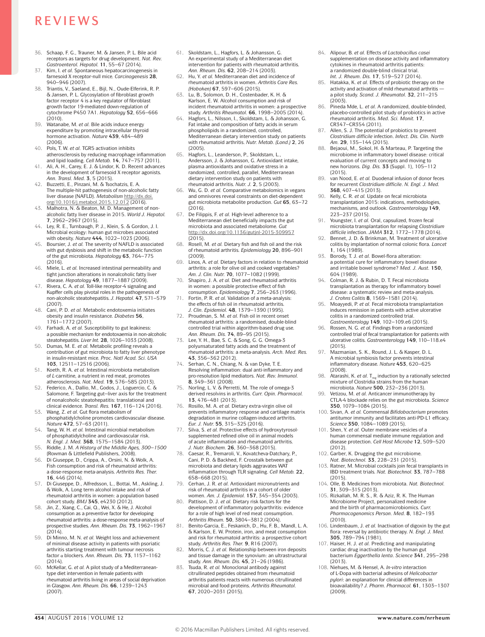- 36. Schaap, F. G., Trauner, M. & Jansen, P. L. Bile acid receptors as targets for drug development. *Nat. Rev. Gastroenterol. Hepatol.* **11**, 55–67 (2014).
- 37. Kim, I. *et al.* Spontaneous hepatocarcinogenesis in farnesoid X receptor-null mice. *Carcinogenesis* **28**, 940–946 (2007).
- 38. Triantis, V., Saeland, E., Bijl, N., Oude-Elferink, R. P. & Jansen, P. L. Glycosylation of fibroblast growth factor receptor 4 is a key regulator of fibroblast growth factor 19-mediated down-regulation of cytochrome P450 7A1. *Hepatology* **52**, 656–666 (2010).
- 39. Watanabe, M. *et al.* Bile acids induce energy expenditure by promoting intracellular thyroid hormone activation. *Nature* **439**, 484–489 (2006).
- 40. Pols, T. W. *et al.* TGR5 activation inhibits atherosclerosis by reducing macrophage inflammation and lipid loading. *Cell Metab.* **14**, 747–757 (2011).
- 41. Ali, A. H., Carey, E. J. & Lindor, K. D. Recent advances in the development of farnesoid X receptor agonists. *Ann. Transl. Med.* **3**, 5 (2015).
- 42. Buzzetti, E., Pinzani, M. & Tsochatzis, E. A. The multiple-hit pathogenesis of non-alcoholic fatty liver disease (NAFLD). *Metabolism* [http://dx.doi.](http://dx.doi.org/10.1016/j.metabol.2015.12.012) [org/10.1016/j.metabol.2015.12.012](http://dx.doi.org/10.1016/j.metabol.2015.12.012) (2016).
- Malhotra, N. & Beaton, M. D. Management of nonalcoholic fatty liver disease in 2015. *World J. Hepatol.*  **7**, 2962–2967 (2015).
- 44. Ley, R. E., Turnbaugh, P. J., Klein, S. & Gordon, J. I. Microbial ecology: human gut microbes associated with obesity. *Nature* **444**, 1022–1023 (2006). 45. Boursier, J. *et al.* The severity of NAFLD is associated
- with gut dysbiosis and shift in the metabolic function of the gut microbiota. *Hepatology* **63**, 764–775 (2016).
- 46. Miele, L. *et al.* Increased intestinal permeability and tight junction alterations in nonalcoholic fatty liver disease. *Hepatology* **49**, 1877–1887 (2009).
- 47. Rivera, C. A. *et al.* Toll-like receptor-4 signaling and Kupffer cells play pivotal roles in the pathogenesis of non-alcoholic steatohepatitis. *J. Hepatol.* **47**, 571–579 (2007).
- Cani, P. D. *et al.* Metabolic endotoxemia initiates obesity and insulin resistance. *Diabetes* **56**, 1761–1772 (2007).
- 49. Farhadi, A. *et al.* Susceptibility to gut leakiness: a possible mechanism for endotoxaemia in non-alcoholic steatohepatitis. *Liver Int.* **28**, 1026–1033 (2008).
- 50. Dumas, M. E. *et al.* Metabolic profiling reveals a contribution of gut microbiota to fatty liver phenotype in insulin-resistant mice. *Proc. Natl Acad. Sci. USA*
- **103**, 12511–12516 (2006). 51. Koeth, R. A. *et al.* Intestinal microbiota metabolism of *L*-carnitine, a nutrient in red meat, promotes atherosclerosis. *Nat. Med.* **19**, 576–585 (2013).
- 52. Federico, A., Dallio, M., Godos, J., Loguercio, C. & Salomone, F. Targeting gut–liver axis for the treatment of nonalcoholic steatohepatitis: translational and clinical evidence. *Transl. Res.* **167**, 116–124 (2016).
- 53. Wang, Z. *et al.* Gut flora metabolism of phosphatidylcholine promotes cardiovascular disease. *Nature* **472**, 57–63 (2011).
- 54. Tang, W. H. *et al.* Intestinal microbial metabolism of phosphatidylcholine and cardiovascular risk. *N. Engl. J. Med.* **368**, 1575–1584 (2013).
- 55. Riddle, J. M. *A History of the Middle Ages, 300–1500* (Rowman & Littlefield Publishers, 2008).
- 56. Di Giuseppe, D., Crippa, A., Orsini, N. & Wolk, A. Fish consumption and risk of rheumatoid arthritis: a dose-response meta-analysis. *Arthritis Res. Ther.*  **16**, 446 (2014).
- 57. Di Giuseppe, D., Alfredsson, L., Bottai, M., Askling, J. & Wolk, A. Long term alcohol intake and risk of rheumatoid arthritis in women: a population based cohort study. *BMJ* **345**, e4230 (2012).
- 58. Jin, Z., Xiang, C., Cai, Q., Wei, X. & He, J. Alcohol consumption as a preventive factor for developing rheumatoid arthritis: a dose-response meta-analysis of prospective studies. *Ann. Rheum. Dis.* **73**, 1962–1967 (2014).
- 59. Di Minno, M. N. *et al.* Weight loss and achievement of minimal disease activity in patients with psoriatic arthritis starting treatment with tumour necrosis factor α blockers. *Ann. Rheum. Dis.* **73**, 1157–1162 (2014).
- 60. McKellar, G. *et al.* A pilot study of a Mediterraneantype diet intervention in female patients with rheumatoid arthritis living in areas of social deprivation in Glasgow. *Ann. Rheum. Dis.* **66**, 1239–1243 (2007).
- 61. Skoldstam, L., Hagfors, L. & Johansson, G. An experimental study of a Mediterranean diet intervention for patients with rheumatoid arthritis. *Ann. Rheum. Dis.* **62**, 208–214 (2003).
- 62. Hu, Y. *et al.* Mediterranean diet and incidence of rheumatoid arthritis in women. *Arthritis Care Res. (Hoboken)* **67**, 597–606 (2015).
- 63. Lu, B., Solomon, D. H., Costenbader, K. H. & Karlson, E. W. Alcohol consumption and risk of incident rheumatoid arthritis in women: a prospective study. *Arthritis Rheumatol.* **66**, 1998–2005 (2014).
- 64. Hagfors, L., Nilsson, I., Skoldstam, L. & Johansson, G. Fat intake and composition of fatty acids in serum phospholipids in a randomized, controlled, Mediterranean dietary intervention study on patients with rheumatoid arthritis. *Nutr. Metab. (Lond.)* **2**, 26 (2005).
- 65. Hagfors, L., Leanderson, P., Skoldstam, L., Andersson, J. & Johansson, G. Antioxidant intake, plasma antioxidants and oxidative stress in a randomized, controlled, parallel, Mediterranean dietary intervention study on patients with rheumatoid arthritis. *Nutr. J.* **2**, 5 (2003).
- 66. Wu, G. D. *et al.* Comparative metabolomics in vegans and omnivores reveal constraints on diet-dependent gut microbiota metabolite production. *Gut* **65**, 63–72  $(2016)$
- 67. De Filippis, F. *et al.* High-level adherence to a Mediterranean diet beneficially impacts the gut microbiota and associated metabolome. *Gut* <http://dx.doi.org/10.1136/gutjnl-2015-309957>  $(2015)$
- 68. Rosell, M. *et al.* Dietary fish and fish oil and the risk of rheumatoid arthritis. *Epidemiology* **20**, 896–901 (2009).
- 69. Linos, A. *et al.* Dietary factors in relation to rheumatoid arthritis: a role for olive oil and cooked vegetables? *Am. J. Clin. Nutr.* **70**, 1077–1082 (1999).
- Shapiro, J. A. *et al.* Diet and rheumatoid arthritis in women: a possible protective effect of fish consumption. *Epidemiology* **7**, 256–263 (1996).
- 71. Fortin, P. R. *et al.* Validation of a meta-analysis: the effects of fish oil in rheumatoid arthritis. *J. Clin. Epidemiol.* **48**, 1379–1390 (1995).
- 72. Proudman, S. M. *et al.* Fish oil in recent onset rheumatoid arthritis: a randomised, double-blind controlled trial within algorithm-based drug use. *Ann. Rheum. Dis.* **74**, 89–95 (2015). 73. Lee, Y. H., Bae, S. C. & Song, G. G. Omega-3
- polyunsaturated fatty acids and the treatment of rheumatoid arthritis: a meta-analysis. *Arch. Med. Res.*  **43**, 356–362 (2012).
- 74. Serhan, C. N., Chiang, N. & van Dyke, T. E. Resolving inflammation: dual anti-inflammatory and pro-resolution lipid mediators. *Nat. Rev. Immunol.*  **8**, 349–361 (2008).
- Norling, L. V. & Perretti, M. The role of omega-3 derived resolvins in arthritis. *Curr. Opin. Pharmacol.*  **13**, 476–481 (2013).
- 76. Rosillo, M. A. *et al.* Dietary extra-virgin olive oil prevents inflammatory response and cartilage matrix degradation in murine collagen-induced arthritis. *Eur. J. Nutr.* **55**, 315–325 (2016).
- 77. Silva, S. *et al.* Protective effects of hydroxytyrosol-supplemented refined olive oil in animal models of acute inflammation and rheumatoid arthritis. *J. Nutr. Biochem.* **26**, 360–368 (2015).
- Caesar, R., Tremaroli, V., Kovatcheva-Datchary, P., Cani, P. D. & Backhed, F. Crosstalk between gut microbiota and dietary lipids aggravates WAT inflammation through TLR signaling. *Cell Metab.* **22**, 658–668 (2015).
- 79. Cerhan, J. R. *et al.* Antioxidant micronutrients and risk of rheumatoid arthritis in a cohort of older women. *Am. J. Epidemiol.* **157**, 345–354 (2003).
- 80. Pattison, D. J. *et al.* Dietary risk factors for the development of inflammatory polyarthritis: evidence for a role of high level of red meat consumption. *Arthritis Rheum.* **50**, 3804–3812 (2004).
- 81. Benito-Garcia, E., Feskanich, D., Hu, F. B., Mandl, L. A. & Karlson, E. W. Protein, iron, and meat consumption and risk for rheumatoid arthritis: a prospective cohort study. *Arthritis Res. Ther.* **9**, R16 (2007).
- Morris, C. J. et al. Relationship between iron deposits and tissue damage in the synovium: an ultrastructural study. *Ann. Rheum. Dis.* **45**, 21–26 (1986).
- 83. Tsuda, R. *et al.* Monoclonal antibody against citrullinated peptides obtained from rheumatoid arthritis patients reacts with numerous citrullinated microbial and food proteins. *Arthritis Rheumatol.*  **67**, 2020–2031 (2015).
- 84. Alipour, B. *et al.* Effects of *Lactobacillus casei* supplementation on disease activity and inflammatory cytokines in rheumatoid arthritis patients: a randomized double-blind clinical trial. *Int. J. Rheum. Dis.* **17**, 519–527 (2014).
- 85. Hatakka, K. *et al.* Effects of probiotic therapy on the activity and activation of mild rheumatoid arthritis a pilot study. *Scand. J. Rheumatol.* **32**, 211–215  $(2003)$
- 86. Pineda Mde, L. *et al.* A randomized, double-blinded, placebo-controlled pilot study of probiotics in active rheumatoid arthritis. *Med. Sci. Monit.* **17**, CR347–CR354 (2011).
- Allen, S. J. The potential of probiotics to prevent *Clostridium difficile* infection. *Infect. Dis. Clin. North Am.* **29**, 135–144 (2015).
- 88. Bejaoui, M., Sokol, H. & Marteau, P. Targeting the microbiome in inflammatory bowel disease: critical evaluation of current concepts and moving to new horizons. *Dig. Dis.* **33** (Suppl. 1), 105–112 (2015).
- 89. van Nood, E. *et al.* Duodenal infusion of donor feces for recurrent *Clostridium difficile*. *N. Engl. J. Med.*  **368**, 407–415 (2013).
- 90. Kelly, C. R. *et al.* Update on fecal microbiota transplantation 2015; indications, methodologies mechanisms, and outlook. *Gastroenterology* **149**, 223–237 (2015).
- 91. Youngster, I. *et al.* Oral, capsulized, frozen fecal microbiota transplantation for relapsing *Clostridium difficile* infection. *JAMA* **312**, 1772–1778 (2014).
- 92. Bennet, J. D. & Brinkman, M. Treatment of ulcerative colitis by implantation of normal colonic flora. *Lancet*  **1**, 164 (1989).
- 93. Borody, T. J. *et al.* Bowel-flora alteration: a potential cure for inflammatory bowel disease and irritable bowel syndrome? *Med. J. Aust.* **150**, 604 (1989).
- 94. Colman, R. J. & Rubin, D. T. Fecal microbiota transplantation as therapy for inflammatory bowel disease: a systematic review and meta-analysis.
- *J. Crohns Colitis* **8**, 1569–1581 (2014). 95. Moayyedi, P. *et al.* Fecal microbiota transplantation induces remission in patients with active ulcerative colitis in a randomized controlled trial.
- *Gastroenterology* **149**, 102–109.e6 (2015). 96. Rossen, N. G. *et al.* Findings from a randomized controlled trial of fecal transplantation for patients with ulcerative colitis. *Gastroenterology* **149**, 110–118.e4 (2015).
- 97. Mazmanian, S. K., Round, J. L. & Kasper, D. L. A microbial symbiosis factor prevents intestinal inflammatory disease. *Nature* **453**, 620–625 (2008).
- 98. Atarashi, K. *et al.* T<sub>reg</sub> induction by a rationally selected mixture of Clostridia strains from the human microbiota. *Nature* **500**, 232–236 (2013).
- 99. Vetizou, M. *et al.* Anticancer immunotherapy by CTLA-4 blockade relies on the gut microbiota. *Science*  **350**, 1079–1084 (2015).
- 100. Sivan, A. *et al.* Commensal *Bifidobacterium* promotes antitumor immunity and facilitates anti-PD-L1 efficacy. *Science* **350**, 1084–1089 (2015).
- 101. Shen, Y. *et al.* Outer membrane vesicles of a human commensal mediate immune regulation and disease protection. *Cell Host Microbe* **12**, 509–520 (2012).
- 102. Garber, K. Drugging the gut microbiome.
- *Nat. Biotechnol.* **33**, 228–231 (2015). 103. Ratner, M. Microbial cocktails join fecal transplants in IBD treatment trials. *Nat. Biotechnol.* **33**, 787–788
- (2015). 104. Olle, B. Medicines from microbiota. *Nat. Biotechnol.*  **31**, 309–315 (2013).
- 105. Rizkallah, M. R. S., R. & Aziz, R. K. The Human Microbiome Project, personalized medicine and the birth of pharmacomicrobiomics. *Curr. Pharmacogenomics Person. Med.* **8**, 182–193 (2010).
- 106. Lindenbaum, J. *et al.* Inactivation of digoxin by the gut flora: reversal by antibiotic therapy. *N. Engl. J. Med.*  **305**, 789–794 (1981).
- 107. Haiser, H. J. *et al.* Predicting and manipulating cardiac drug inactivation by the human gut bacterium *Eggerthella lenta*. *Science* **341**, 295–298 (2013).
- 108. Niehues, M. & Hensel, A. *In-vitro* interaction of L-Dopa with bacterial adhesins of *Helicobacter pylori*: an explanation for clinicial differences in bioavailability? *J. Pharm. Pharmacol.* **61**, 1303–1307 (2009).